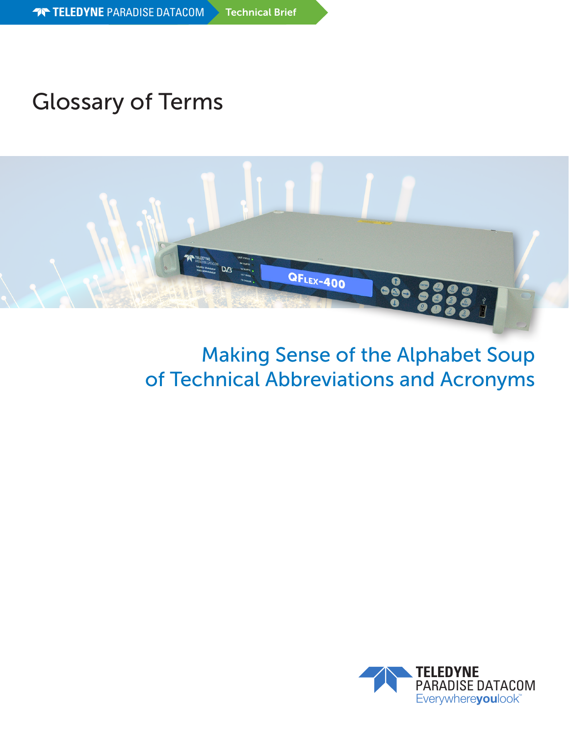# Glossary of Terms



# Making Sense of the Alphabet Soup of Technical Abbreviations and Acronyms

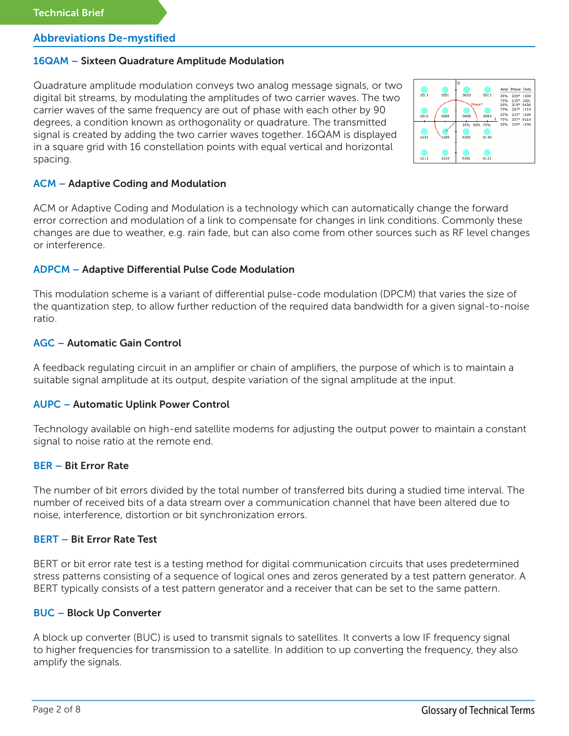# 16QAM – Sixteen Quadrature Amplitude Modulation

Quadrature amplitude modulation conveys two analog message signals, or two digital bit streams, by modulating the amplitudes of two carrier waves. The two carrier waves of the same frequency are out of phase with each other by 90 degrees, a condition known as orthogonality or quadrature. The transmitted signal is created by adding the two carrier waves together. 16QAM is displayed in a square grid with 16 constellation points with equal vertical and horizontal spacing.



### ACM – Adaptive Coding and Modulation

ACM or Adaptive Coding and Modulation is a technology which can automatically change the forward error correction and modulation of a link to compensate for changes in link conditions. Commonly these changes are due to weather, e.g. rain fade, but can also come from other sources such as RF level changes or interference.

### ADPCM – Adaptive Differential Pulse Code Modulation

This modulation scheme is a variant of differential pulse-code modulation (DPCM) that varies the size of the quantization step, to allow further reduction of the required data bandwidth for a given signal-to-noise ratio.

# AGC – Automatic Gain Control

A feedback regulating circuit in an amplifier or chain of amplifiers, the purpose of which is to maintain a suitable signal amplitude at its output, despite variation of the signal amplitude at the input.

## AUPC – Automatic Uplink Power Control

Technology available on high-end satellite modems for adjusting the output power to maintain a constant signal to noise ratio at the remote end.

### BER – Bit Error Rate

The number of bit errors divided by the total number of transferred bits during a studied time interval. The number of received bits of a data stream over a communication channel that have been altered due to noise, interference, distortion or bit synchronization errors.

### BERT – Bit Error Rate Test

BERT or bit error rate test is a testing method for digital communication circuits that uses predetermined stress patterns consisting of a sequence of logical ones and zeros generated by a test pattern generator. A BERT typically consists of a test pattern generator and a receiver that can be set to the same pattern.

### BUC – Block Up Converter

A block up converter (BUC) is used to transmit signals to satellites. It converts a low IF frequency signal to higher frequencies for transmission to a satellite. In addition to up converting the frequency, they also amplify the signals.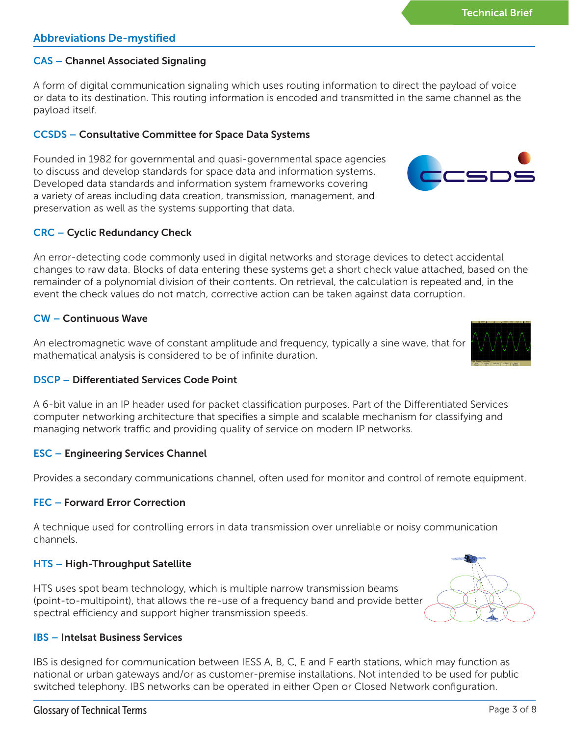# CAS – Channel Associated Signaling

A form of digital communication signaling which uses routing information to direct the payload of voice or data to its destination. This routing information is encoded and transmitted in the same channel as the payload itself.

## CCSDS – Consultative Committee for Space Data Systems

Founded in 1982 for governmental and quasi-governmental space agencies to discuss and develop standards for space data and information systems. Developed data standards and information system frameworks covering a variety of areas including data creation, transmission, management, and preservation as well as the systems supporting that data.

# CRC – Cyclic Redundancy Check

An error-detecting code commonly used in digital networks and storage devices to detect accidental changes to raw data. Blocks of data entering these systems get a short check value attached, based on the remainder of a polynomial division of their contents. On retrieval, the calculation is repeated and, in the event the check values do not match, corrective action can be taken against data corruption.

# CW – Continuous Wave

An electromagnetic wave of constant amplitude and frequency, typically a sine wave, that for mathematical analysis is considered to be of infinite duration.

# DSCP – Differentiated Services Code Point

A 6-bit value in an IP header used for packet classification purposes. Part of the Differentiated Services computer networking architecture that specifies a simple and scalable mechanism for classifying and managing network traffic and providing quality of service on modern IP networks.

### ESC – Engineering Services Channel

Provides a secondary communications channel, often used for monitor and control of remote equipment.

### FEC – Forward Error Correction

A technique used for controlling errors in data transmission over unreliable or noisy communication channels.

# HTS – High-Throughput Satellite

HTS uses spot beam technology, which is multiple narrow transmission beams (point-to-multipoint), that allows the re-use of a frequency band and provide better spectral efficiency and support higher transmission speeds.

# IBS – Intelsat Business Services

IBS is designed for communication between IESS A, B, C, E and F earth stations, which may function as national or urban gateways and/or as customer-premise installations. Not intended to be used for public switched telephony. IBS networks can be operated in either Open or Closed Network configuration.





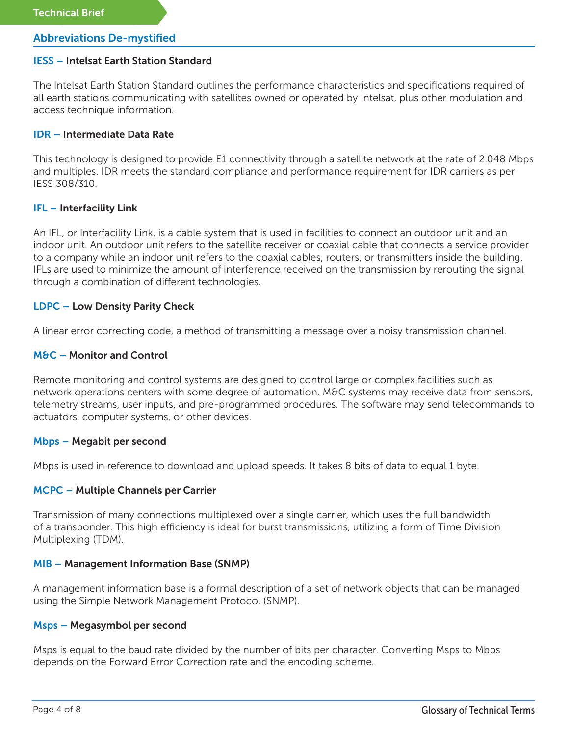### IESS – Intelsat Earth Station Standard

The Intelsat Earth Station Standard outlines the performance characteristics and specifications required of all earth stations communicating with satellites owned or operated by Intelsat, plus other modulation and access technique information.

### IDR – Intermediate Data Rate

This technology is designed to provide E1 connectivity through a satellite network at the rate of 2.048 Mbps and multiples. IDR meets the standard compliance and performance requirement for IDR carriers as per IESS 308/310.

### IFL – Interfacility Link

An IFL, or Interfacility Link, is a cable system that is used in facilities to connect an outdoor unit and an indoor unit. An outdoor unit refers to the satellite receiver or coaxial cable that connects a service provider to a company while an indoor unit refers to the coaxial cables, routers, or transmitters inside the building. IFLs are used to minimize the amount of interference received on the transmission by rerouting the signal through a combination of different technologies.

### LDPC – Low Density Parity Check

A linear error correcting code, a method of transmitting a message over a noisy transmission channel.

### M&C – Monitor and Control

Remote monitoring and control systems are designed to control large or complex facilities such as network operations centers with some degree of automation. M&C systems may receive data from sensors, telemetry streams, user inputs, and pre-programmed procedures. The software may send telecommands to actuators, computer systems, or other devices.

#### Mbps – Megabit per second

Mbps is used in reference to download and upload speeds. It takes 8 bits of data to equal 1 byte.

### MCPC – Multiple Channels per Carrier

Transmission of many connections multiplexed over a single carrier, which uses the full bandwidth of a transponder. This high efficiency is ideal for burst transmissions, utilizing a form of Time Division Multiplexing (TDM).

### MIB – Management Information Base (SNMP)

A management information base is a formal description of a set of network objects that can be managed using the Simple Network Management Protocol (SNMP).

#### Msps – Megasymbol per second

Msps is equal to the baud rate divided by the number of bits per character. Converting Msps to Mbps depends on the Forward Error Correction rate and the encoding scheme.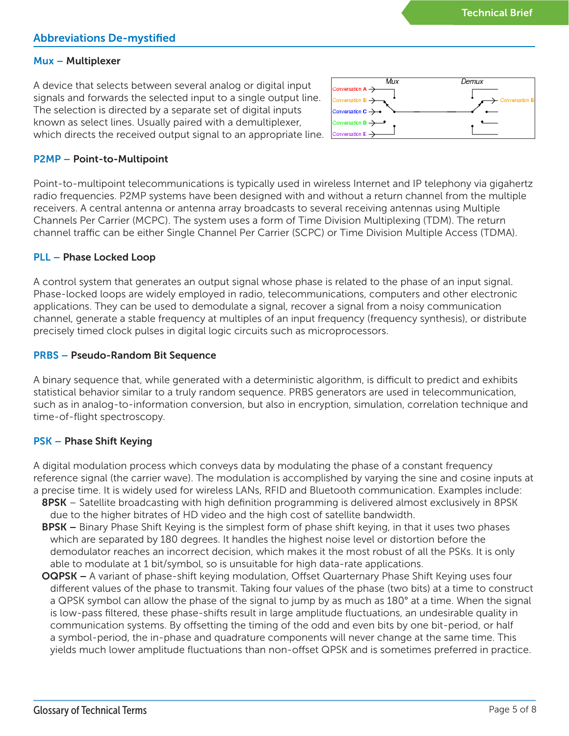Demux

# Abbreviations De-mystified

# Mux – Multiplexer

A device that selects between several analog or digital input signals and forwards the selected input to a single output line. The selection is directed by a separate set of digital inputs known as select lines. Usually paired with a demultiplexer, which directs the received output signal to an appropriate line.



Mux

# P2MP – Point-to-Multipoint

Point-to-multipoint telecommunications is typically used in wireless Internet and IP telephony via gigahertz radio frequencies. P2MP systems have been designed with and without a return channel from the multiple receivers. A central antenna or antenna array broadcasts to several receiving antennas using Multiple Channels Per Carrier (MCPC). The system uses a form of Time Division Multiplexing (TDM). The return channel traffic can be either Single Channel Per Carrier (SCPC) or Time Division Multiple Access (TDMA).

# PLL – Phase Locked Loop

A control system that generates an output signal whose phase is related to the phase of an input signal. Phase-locked loops are widely employed in radio, telecommunications, computers and other electronic applications. They can be used to demodulate a signal, recover a signal from a noisy communication channel, generate a stable frequency at multiples of an input frequency (frequency synthesis), or distribute precisely timed clock pulses in digital logic circuits such as microprocessors.

# PRBS – Pseudo-Random Bit Sequence

A binary sequence that, while generated with a deterministic algorithm, is difficult to predict and exhibits statistical behavior similar to a truly random sequence. PRBS generators are used in telecommunication, such as in analog-to-information conversion, but also in encryption, simulation, correlation technique and time-of-flight spectroscopy.

# PSK – Phase Shift Keying

A digital modulation process which conveys data by modulating the phase of a constant frequency reference signal (the carrier wave). The modulation is accomplished by varying the sine and cosine inputs at a precise time. It is widely used for wireless LANs, RFID and Bluetooth communication. Examples include:

- 8PSK Satellite broadcasting with high definition programming is delivered almost exclusively in 8PSK due to the higher bitrates of HD video and the high cost of satellite bandwidth.
- **BPSK** Binary Phase Shift Keying is the simplest form of phase shift keying, in that it uses two phases which are separated by 180 degrees. It handles the highest noise level or distortion before the demodulator reaches an incorrect decision, which makes it the most robust of all the PSKs. It is only able to modulate at 1 bit/symbol, so is unsuitable for high data-rate applications.
- **OQPSK** A variant of phase-shift keying modulation, Offset Quarternary Phase Shift Keying uses four different values of the phase to transmit. Taking four values of the phase (two bits) at a time to construct a QPSK symbol can allow the phase of the signal to jump by as much as 180° at a time. When the signal is low-pass filtered, these phase-shifts result in large amplitude fluctuations, an undesirable quality in communication systems. By offsetting the timing of the odd and even bits by one bit-period, or half a symbol-period, the in-phase and quadrature components will never change at the same time. This yields much lower amplitude fluctuations than non-offset QPSK and is sometimes preferred in practice.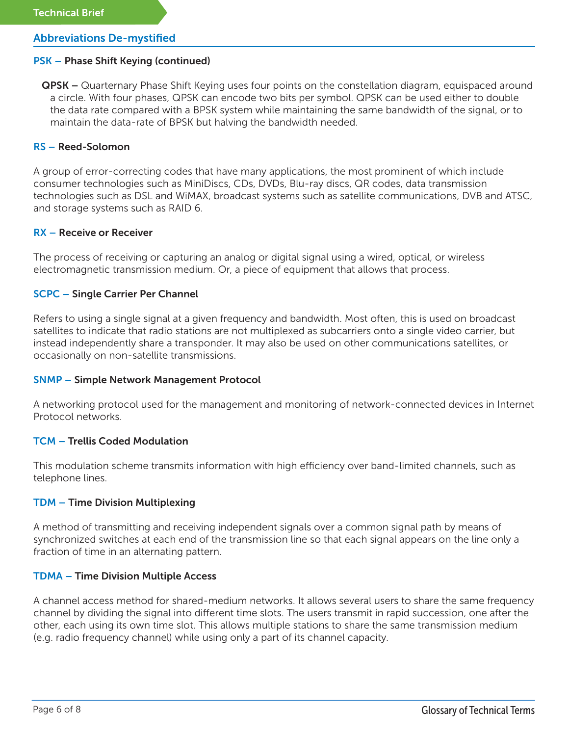### PSK – Phase Shift Keying (continued)

**QPSK** – Quarternary Phase Shift Keying uses four points on the constellation diagram, equispaced around a circle. With four phases, QPSK can encode two bits per symbol. QPSK can be used either to double the data rate compared with a BPSK system while maintaining the same bandwidth of the signal, or to maintain the data-rate of BPSK but halving the bandwidth needed.

### RS – Reed-Solomon

A group of error-correcting codes that have many applications, the most prominent of which include consumer technologies such as MiniDiscs, CDs, DVDs, Blu-ray discs, QR codes, data transmission technologies such as DSL and WiMAX, broadcast systems such as satellite communications, DVB and ATSC, and storage systems such as RAID 6.

### RX – Receive or Receiver

The process of receiving or capturing an analog or digital signal using a wired, optical, or wireless electromagnetic transmission medium. Or, a piece of equipment that allows that process.

### SCPC – Single Carrier Per Channel

Refers to using a single signal at a given frequency and bandwidth. Most often, this is used on broadcast satellites to indicate that radio stations are not multiplexed as subcarriers onto a single video carrier, but instead independently share a transponder. It may also be used on other communications satellites, or occasionally on non-satellite transmissions.

### SNMP – Simple Network Management Protocol

A networking protocol used for the management and monitoring of network-connected devices in Internet Protocol networks.

### TCM – Trellis Coded Modulation

This modulation scheme transmits information with high efficiency over band-limited channels, such as telephone lines.

### TDM – Time Division Multiplexing

A method of transmitting and receiving independent signals over a common signal path by means of synchronized switches at each end of the transmission line so that each signal appears on the line only a fraction of time in an alternating pattern.

#### TDMA – Time Division Multiple Access

A channel access method for shared-medium networks. It allows several users to share the same frequency channel by dividing the signal into different time slots. The users transmit in rapid succession, one after the other, each using its own time slot. This allows multiple stations to share the same transmission medium (e.g. radio frequency channel) while using only a part of its channel capacity.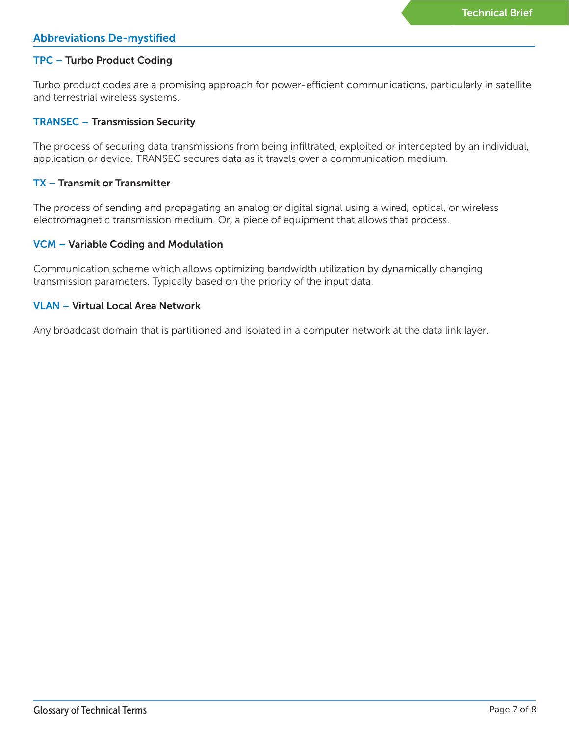# TPC – Turbo Product Coding

Turbo product codes are a promising approach for power-efficient communications, particularly in satellite and terrestrial wireless systems.

### TRANSEC – Transmission Security

The process of securing data transmissions from being infiltrated, exploited or intercepted by an individual, application or device. TRANSEC secures data as it travels over a communication medium.

### TX – Transmit or Transmitter

The process of sending and propagating an analog or digital signal using a wired, optical, or wireless electromagnetic transmission medium. Or, a piece of equipment that allows that process.

### VCM – Variable Coding and Modulation

Communication scheme which allows optimizing bandwidth utilization by dynamically changing transmission parameters. Typically based on the priority of the input data.

### VLAN – Virtual Local Area Network

Any broadcast domain that is partitioned and isolated in a computer network at the data link layer.